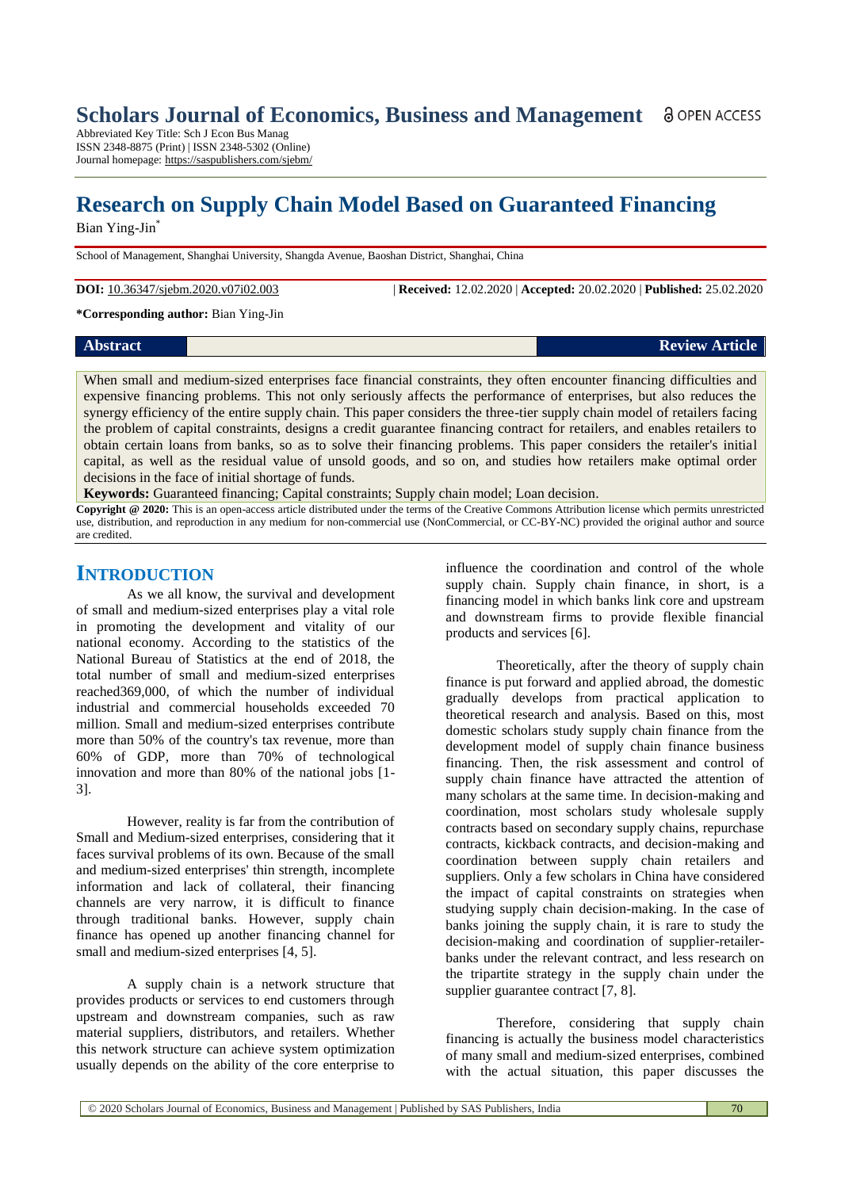Abbreviated Key Title: Sch J Econ Bus Manag ISSN 2348-8875 (Print) | ISSN 2348-5302 (Online) Journal homepage: https://saspublishers.com/sjebm/

# **Research on Supply Chain Model Based on Guaranteed Financing**

Bian Ying-Jin\*

School of Management, Shanghai University, Shangda Avenue, Baoshan District, Shanghai, China

**DOI:** 10.36347/sjebm.2020.v07i02.003 | **Received:** 12.02.2020 | **Accepted:** 20.02.2020 | **Published:** 25.02.2020

**\*Corresponding author:** Bian Ying-Jin

**Abstract Review Article** 

When small and medium-sized enterprises face financial constraints, they often encounter financing difficulties and expensive financing problems. This not only seriously affects the performance of enterprises, but also reduces the synergy efficiency of the entire supply chain. This paper considers the three-tier supply chain model of retailers facing the problem of capital constraints, designs a credit guarantee financing contract for retailers, and enables retailers to obtain certain loans from banks, so as to solve their financing problems. This paper considers the retailer's initial capital, as well as the residual value of unsold goods, and so on, and studies how retailers make optimal order decisions in the face of initial shortage of funds.

**Keywords:** Guaranteed financing; Capital constraints; Supply chain model; Loan decision.

**Copyright @ 2020:** This is an open-access article distributed under the terms of the Creative Commons Attribution license which permits unrestricted use, distribution, and reproduction in any medium for non-commercial use (NonCommercial, or CC-BY-NC) provided the original author and source are credited.

# **INTRODUCTION**

As we all know, the survival and development of small and medium-sized enterprises play a vital role in promoting the development and vitality of our national economy. According to the statistics of the National Bureau of Statistics at the end of 2018, the total number of small and medium-sized enterprises reached369,000, of which the number of individual industrial and commercial households exceeded 70 million. Small and medium-sized enterprises contribute more than 50% of the country's tax revenue, more than 60% of GDP, more than 70% of technological innovation and more than 80% of the national jobs [1- 3].

However, reality is far from the contribution of Small and Medium-sized enterprises, considering that it faces survival problems of its own. Because of the small and medium-sized enterprises' thin strength, incomplete information and lack of collateral, their financing channels are very narrow, it is difficult to finance through traditional banks. However, supply chain finance has opened up another financing channel for small and medium-sized enterprises [4, 5].

A supply chain is a network structure that provides products or services to end customers through upstream and downstream companies, such as raw material suppliers, distributors, and retailers. Whether this network structure can achieve system optimization usually depends on the ability of the core enterprise to

influence the coordination and control of the whole supply chain. Supply chain finance, in short, is a [financing model](https://wiki.mbalib.com/wiki/%E8%9E%8D%E8%B5%84%E6%A8%A1%E5%BC%8F) in which [banks](https://wiki.mbalib.com/wiki/%E9%93%B6%E8%A1%8C) link core and upstream and downstream firms to provide flexible financial [products](https://wiki.mbalib.com/wiki/%E4%BA%A7%E5%93%81) and services [6].

Theoretically, after the theory of supply chain finance is put forward and applied abroad, the domestic gradually develops from practical application to theoretical research and analysis. Based on this, most domestic scholars study supply chain finance from the development model of supply chain finance business financing. Then, the risk assessment and control of supply chain finance have attracted the attention of many scholars at the same time. In decision-making and coordination, most scholars study wholesale supply contracts based on secondary supply chains, repurchase contracts, kickback contracts, and decision-making and coordination between supply chain retailers and suppliers. Only a few scholars in China have considered the impact of capital constraints on strategies when studying supply chain decision-making. In the case of banks joining the supply chain, it is rare to study the decision-making and coordination of supplier-retailerbanks under the relevant contract, and less research on the tripartite strategy in the supply chain under the supplier guarantee contract [7, 8].

Therefore, considering that supply chain financing is actually the business model characteristics of many small and medium-sized enterprises, combined with the actual situation, this paper discusses the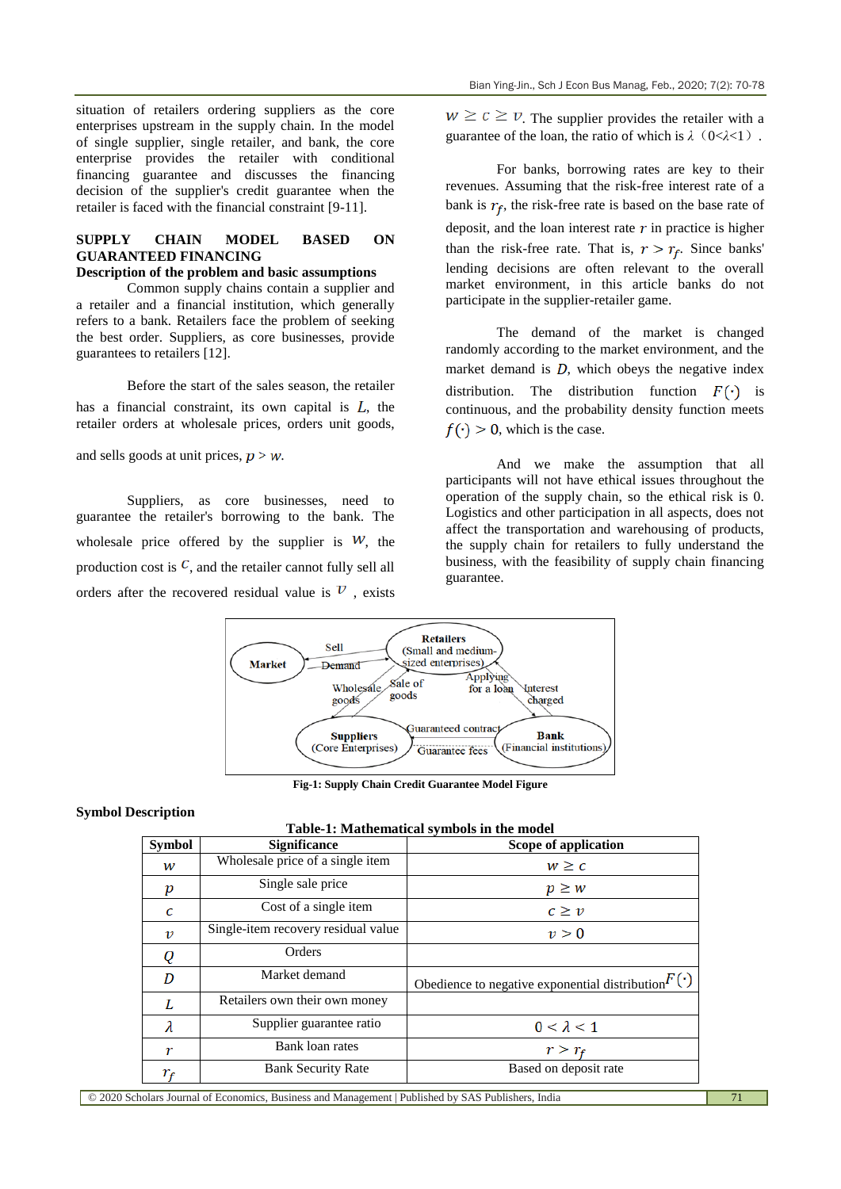situation of retailers ordering suppliers as the core enterprises upstream in the supply chain. In the model of single supplier, single retailer, and bank, the core enterprise provides the retailer with conditional financing guarantee and discusses the financing decision of the supplier's credit guarantee when the retailer is faced with the financial constraint [9-11].

# **SUPPLY CHAIN MODEL BASED ON GUARANTEED FINANCING**

# **Description of the problem and basic assumptions**

Common supply chains contain a supplier and a retailer and a financial institution, which generally refers to a bank. Retailers face the problem of seeking the best order. Suppliers, as core businesses, provide guarantees to retailers [12].

Before the start of the sales season, the retailer has a financial constraint, its own capital is  $L$ , the retailer orders at wholesale prices, orders unit goods,

and sells goods at unit prices,  $p > w$ .

Suppliers, as core businesses, need to guarantee the retailer's borrowing to the bank. The wholesale price offered by the supplier is  $W$ , the production cost is  $\mathcal{C}$ , and the retailer cannot fully sell all orders after the recovered residual value is  $\mathcal V$ , exists  $w \geq c \geq v$ . The supplier provides the retailer with a guarantee of the loan, the ratio of which is *λ*(0<*λ*<1).

For banks, borrowing rates are key to their revenues. Assuming that the risk-free interest rate of a bank is  $r_f$ , the risk-free rate is based on the base rate of deposit, and the loan interest rate  $r$  in practice is higher than the risk-free rate. That is,  $r > r_f$ . Since banks' lending decisions are often relevant to the overall market environment, in this article banks do not participate in the supplier-retailer game.

The demand of the market is changed randomly according to the market environment, and the market demand is  $D$ , which obeys the negative index distribution. The distribution function  $F(\cdot)$  is continuous, and the probability density function meets  $f(\cdot) > 0$ , which is the case.

And we make the assumption that all participants will not have ethical issues throughout the operation of the supply chain, so the ethical risk is 0. Logistics and other participation in all aspects, does not affect the transportation and warehousing of products, the supply chain for retailers to fully understand the business, with the feasibility of supply chain financing guarantee.



**Fig-1: Supply Chain Credit Guarantee Model Figure**

# **Symbol Description**

| Table-1: Mathematical symbols in the model |                                                                                          |                                                           |  |  |  |  |  |
|--------------------------------------------|------------------------------------------------------------------------------------------|-----------------------------------------------------------|--|--|--|--|--|
| <b>Symbol</b>                              | <b>Significance</b>                                                                      | Scope of application                                      |  |  |  |  |  |
| w                                          | Wholesale price of a single item                                                         | $w \geq c$                                                |  |  |  |  |  |
| p                                          | Single sale price                                                                        | $p \geq w$                                                |  |  |  |  |  |
| C                                          | Cost of a single item                                                                    | $c \geq v$                                                |  |  |  |  |  |
| ν                                          | Single-item recovery residual value                                                      | v > 0                                                     |  |  |  |  |  |
| Q                                          | Orders                                                                                   |                                                           |  |  |  |  |  |
| D                                          | Market demand                                                                            | Obedience to negative exponential distribution $F(\cdot)$ |  |  |  |  |  |
| L                                          | Retailers own their own money                                                            |                                                           |  |  |  |  |  |
| λ                                          | Supplier guarantee ratio                                                                 | $0 < \lambda < 1$                                         |  |  |  |  |  |
| r                                          | Bank loan rates                                                                          | $r > r_f$                                                 |  |  |  |  |  |
| $r_{\scriptscriptstyle\! F}$               | <b>Bank Security Rate</b>                                                                | Based on deposit rate                                     |  |  |  |  |  |
|                                            | ders Journal of Feanamias, Duciness and Menagement   Dublished by CAS Dublishers, India. |                                                           |  |  |  |  |  |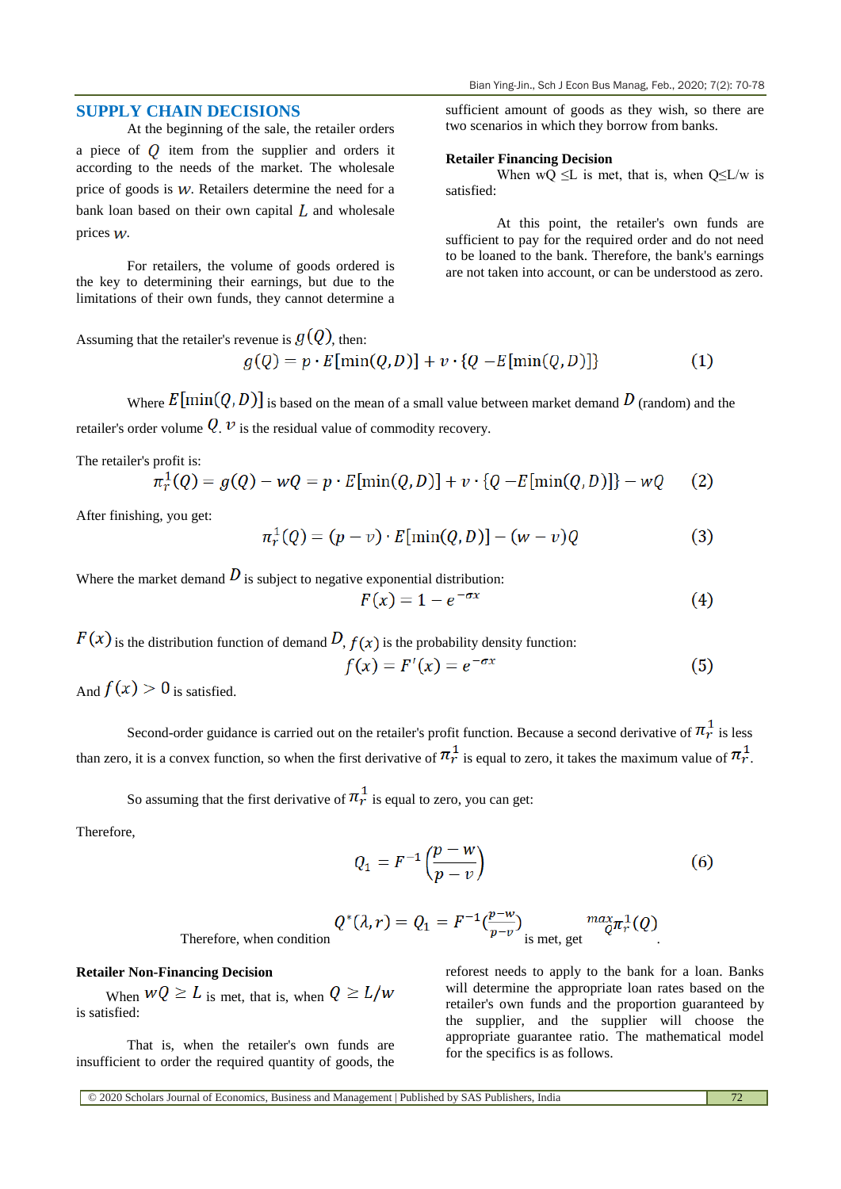# **SUPPLY CHAIN DECISIONS**

At the beginning of the sale, the retailer orders a piece of  $Q$  item from the supplier and orders it according to the needs of the market. The wholesale price of goods is  $W$ . Retailers determine the need for a bank loan based on their own capital  $\overline{L}$  and wholesale prices  $W$ .

For retailers, the volume of goods ordered is the key to determining their earnings, but due to the limitations of their own funds, they cannot determine a sufficient amount of goods as they wish, so there are two scenarios in which they borrow from banks.

#### **Retailer Financing Decision**

When wQ  $\leq$ L is met, that is, when Q $\leq$ L/w is satisfied:

At this point, the retailer's own funds are sufficient to pay for the required order and do not need to be loaned to the bank. Therefore, the bank's earnings are not taken into account, or can be understood as zero.

 $(1)$ 

Assuming that the retailer's revenue is 
$$
g(Q)
$$
, then:  
 $g(Q) = p \cdot E[\min(Q, D)] + v \cdot \{Q - E[\min(Q, D)]\}$ 

Where  $E[\min(Q, D)]$  is based on the mean of a small value between market demand D (random) and the retailer's order volume  $Q, \nu$  is the residual value of commodity recovery.

The retailer's profit is:

$$
\pi_r^1(Q) = g(Q) - wQ = p \cdot E[\min(Q, D)] + v \cdot \{Q - E[\min(Q, D)]\} - wQ \qquad (2)
$$

After finishing, you get:

$$
\pi_r^1(Q) = (p - v) \cdot E[\min(Q, D)] - (w - v)Q \tag{3}
$$

Where the market demand  $D$  is subject to negative exponential distribution:

$$
F(x) = 1 - e^{-\sigma x} \tag{4}
$$

 $F(x)$  is the distribution function of demand  $D$ ,  $f(x)$  is the probability density function:

$$
f(x) = F'(x) = e^{-\sigma x} \tag{5}
$$

And  $f(x) > 0$  is satisfied.

Second-order guidance is carried out on the retailer's profit function. Because a second derivative of  $\pi_r^1$  is less than zero, it is a convex function, so when the first derivative of  $\pi_r^1$  is equal to zero, it takes the maximum value of  $\pi_r^1$ .

So assuming that the first derivative of  $\pi^1$  is equal to zero, you can get:

Therefore,

$$
Q_1 = F^{-1}\left(\frac{p - w}{p - v}\right) \tag{6}
$$

$$
Q^*(\lambda, r) = Q_1 = F^{-1}(\frac{p-w}{p-v}) \max_{\text{is met, get}} \frac{max}{Q} \pi_r^1(Q)
$$

Therefore, when condition

### **Retailer Non-Financing Decision**

When  $WQ \ge L$  is met, that is, when  $Q \ge L/w$ is satisfied:

That is, when the retailer's own funds are insufficient to order the required quantity of goods, the

reforest needs to apply to the bank for a loan. Banks will determine the appropriate loan rates based on the retailer's own funds and the proportion guaranteed by the supplier, and the supplier will choose the appropriate guarantee ratio. The mathematical model for the specifics is as follows.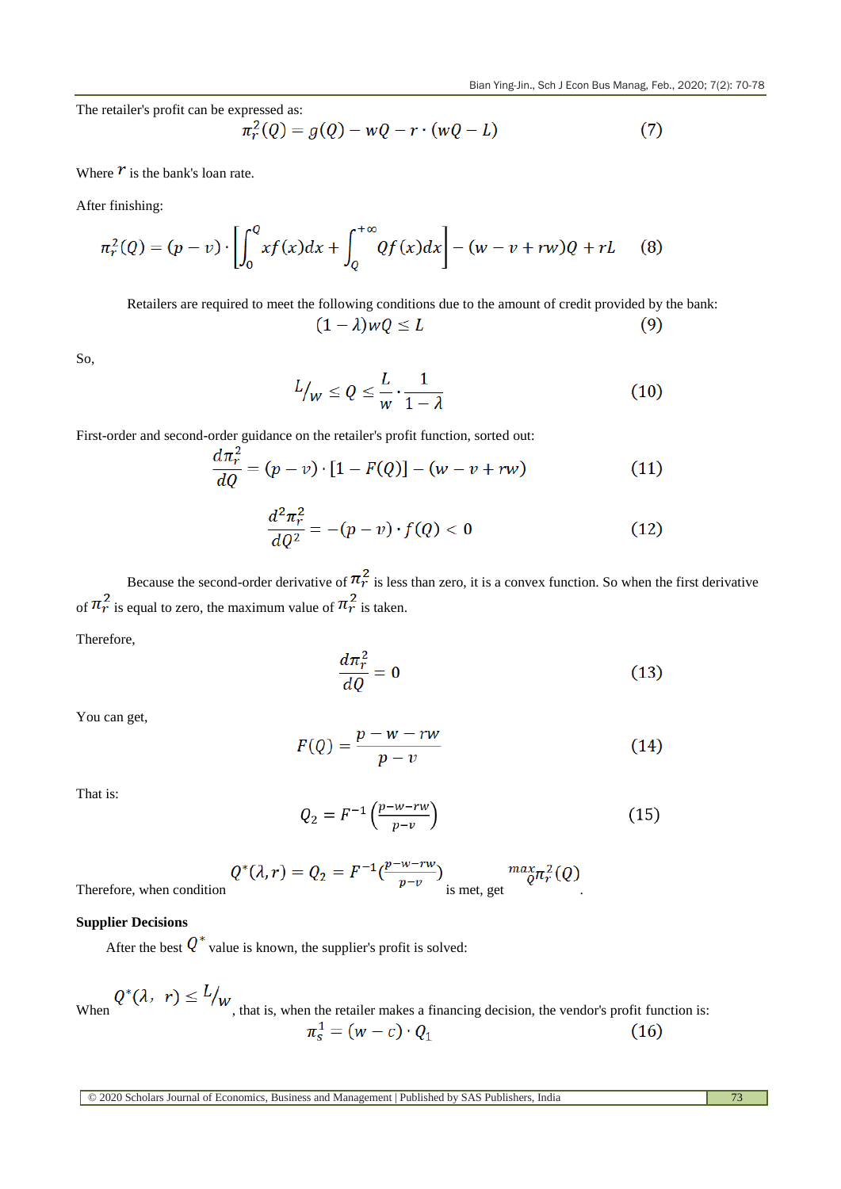The retailer's profit can be expressed as:

$$
\pi_r^2(Q) = g(Q) - wQ - r \cdot (wQ - L)
$$
 (7)

Where  $\boldsymbol{r}$  is the bank's loan rate.

After finishing:

$$
\pi_r^2(Q) = (p - v) \cdot \left[ \int_0^Q x f(x) dx + \int_Q^{+\infty} Qf(x) dx \right] - (w - v + rw)Q + rL \tag{8}
$$

Retailers are required to meet the following conditions due to the amount of credit provided by the bank:  $(1 - \lambda)wQ \leq L$  $(9)$ 

So,

$$
L_{\text{w}} \le Q \le \frac{L}{w} \cdot \frac{1}{1 - \lambda} \tag{10}
$$

First-order and second-order guidance on the retailer's profit function, sorted out:

$$
\frac{d\pi_r^2}{dQ} = (p - v) \cdot [1 - F(Q)] - (w - v + rw)
$$
\n(11)

$$
\frac{d^2\pi_r^2}{dQ^2} = -(p-v)\cdot f(Q) < 0\tag{12}
$$

Because the second-order derivative of  $\pi^2$  is less than zero, it is a convex function. So when the first derivative of  $\pi_r^2$  is equal to zero, the maximum value of  $\pi_r^2$  is taken.

Therefore,

$$
\frac{d\pi_r^2}{dQ} = 0\tag{13}
$$

You can get,

$$
F(Q) = \frac{p - w - rw}{p - v} \tag{14}
$$

That is:

$$
Q_2 = F^{-1}\left(\frac{p - w - rw}{p - v}\right) \tag{15}
$$

$$
Q^*(\lambda, r) = Q_2 = F^{-1}(\frac{p-w-rw}{p-v}) \max_{\text{is met, get}} \frac{max_{\mathcal{C}} \pi_r^2(Q)}{p}
$$

Therefore, when condition

# **Supplier Decisions**

After the best  $Q^*$  value is known, the supplier's profit is solved:

When  $Q^*(\lambda, r) \le L/_{W}$ , that is, when the retailer makes a financing decision, the vendor's profit function is:<br> $\pi_s^1 = (w - c) \cdot Q_1$  (16)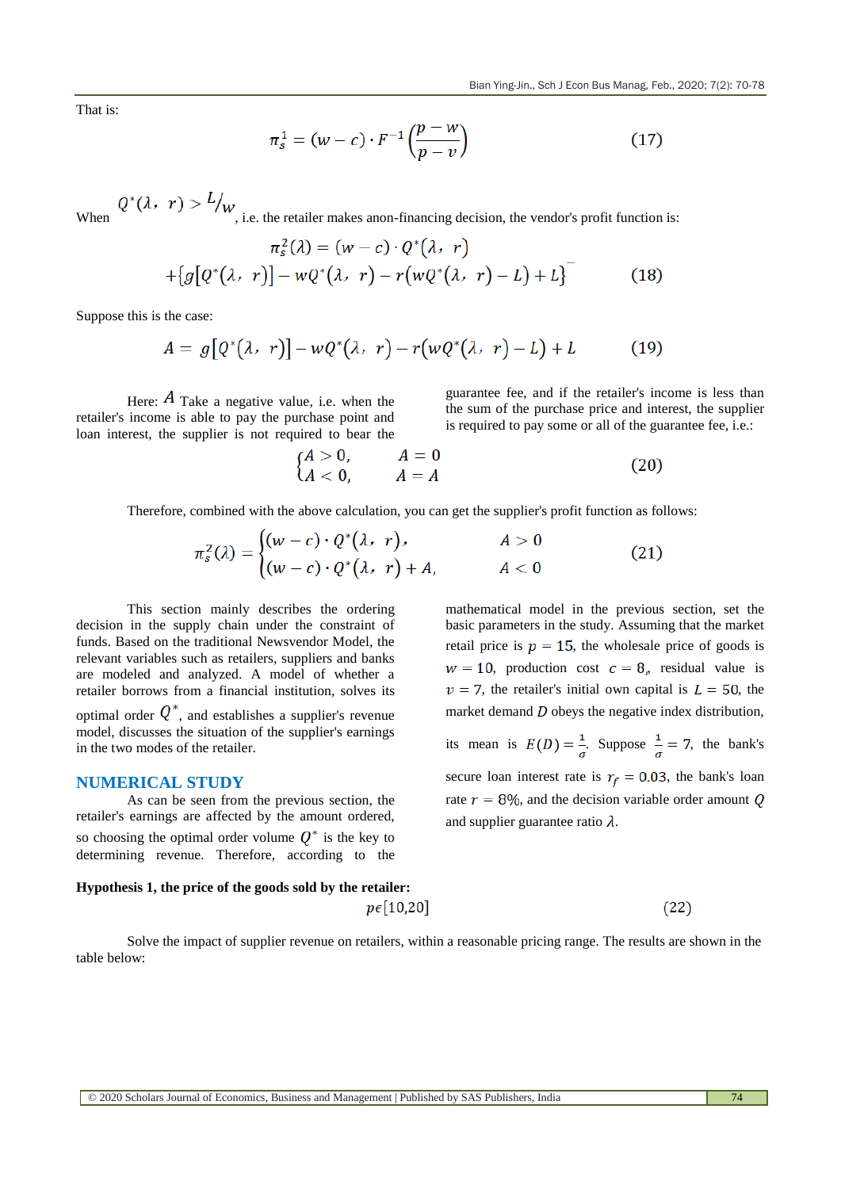That is:

$$
\pi_s^1 = (w - c) \cdot F^{-1}\left(\frac{p - w}{p - v}\right) \tag{17}
$$

When  $Q^*(\lambda, r) > L/w$ , i.e. the retailer makes anon-financing decision, the vendor's profit function is:  $\sim$   $\sim$   $\sim$   $\sim$   $\sim$  $\sigma$  and

$$
\pi_s^2(\lambda) = (w - c) \cdot Q^*(\lambda, r)
$$
  
+{ $g[Q^*(\lambda, r)] - wQ^*(\lambda, r) - r(wQ^*(\lambda, r) - L) + L]$ <sup>-</sup> (18)

Suppose this is the case:

$$
A = g\big[Q^*(\lambda, r)\big] - wQ^*(\lambda, r) - r\big(wQ^*(\lambda, r) - L\big) + L \tag{19}
$$

Here:  $\vec{A}$  Take a negative value, i.e. when the retailer's income is able to pay the purchase point and loan interest, the supplier is not required to bear the

guarantee fee, and if the retailer's income is less than the sum of the purchase price and interest, the supplier is required to pay some or all of the guarantee fee, i.e.:

$$
\begin{cases}\nA > 0, \\
A < 0,\n\end{cases}\n\qquad\n\begin{cases}\nA = 0 \\
A = A\n\end{cases}\n\tag{20}
$$

Therefore, combined with the above calculation, you can get the supplier's profit function as follows:

$$
\pi_s^2(\lambda) = \begin{cases} (w-c) \cdot Q^*(\lambda, r), & A > 0 \\ (w-c) \cdot Q^*(\lambda, r) + A, & A < 0 \end{cases}
$$
(21)

This section mainly describes the ordering decision in the supply chain under the constraint of funds. Based on the traditional Newsvendor Model, the relevant variables such as retailers, suppliers and banks are modeled and analyzed. A model of whether a retailer borrows from a financial institution, solves its optimal order  $Q^*$ , and establishes a supplier's revenue model, discusses the situation of the supplier's earnings in the two modes of the retailer.

# **NUMERICAL STUDY**

As can be seen from the previous section, the retailer's earnings are affected by the amount ordered, so choosing the optimal order volume  $Q^*$  is the key to determining revenue. Therefore, according to the

mathematical model in the previous section, set the basic parameters in the study. Assuming that the market  
retail price is 
$$
p = 15
$$
, the wholesale price of goods is  
 $w = 10$ , production cost  $c = 8$ , residual value is  
 $v = 7$ , the retailer's initial own capital is  $L = 50$ , the  
market demand D obeys the negative index distribution,  
its mean is  $E(D) = \frac{1}{\sigma}$ . Suppose  $\frac{1}{\sigma} = 7$ , the bank's  
secure loan interest rate is  $r_f = 0.03$ , the bank's loan  
rate  $r = 8\%$ , and the decision variable order amount Q  
and supplier guarantee ratio  $\lambda$ .

# **Hypothesis 1, the price of the goods sold by the retailer:**  $p\epsilon$ [10,20]

Solve the impact of supplier revenue on retailers, within a reasonable pricing range. The results are shown in the table below:

 $(22)$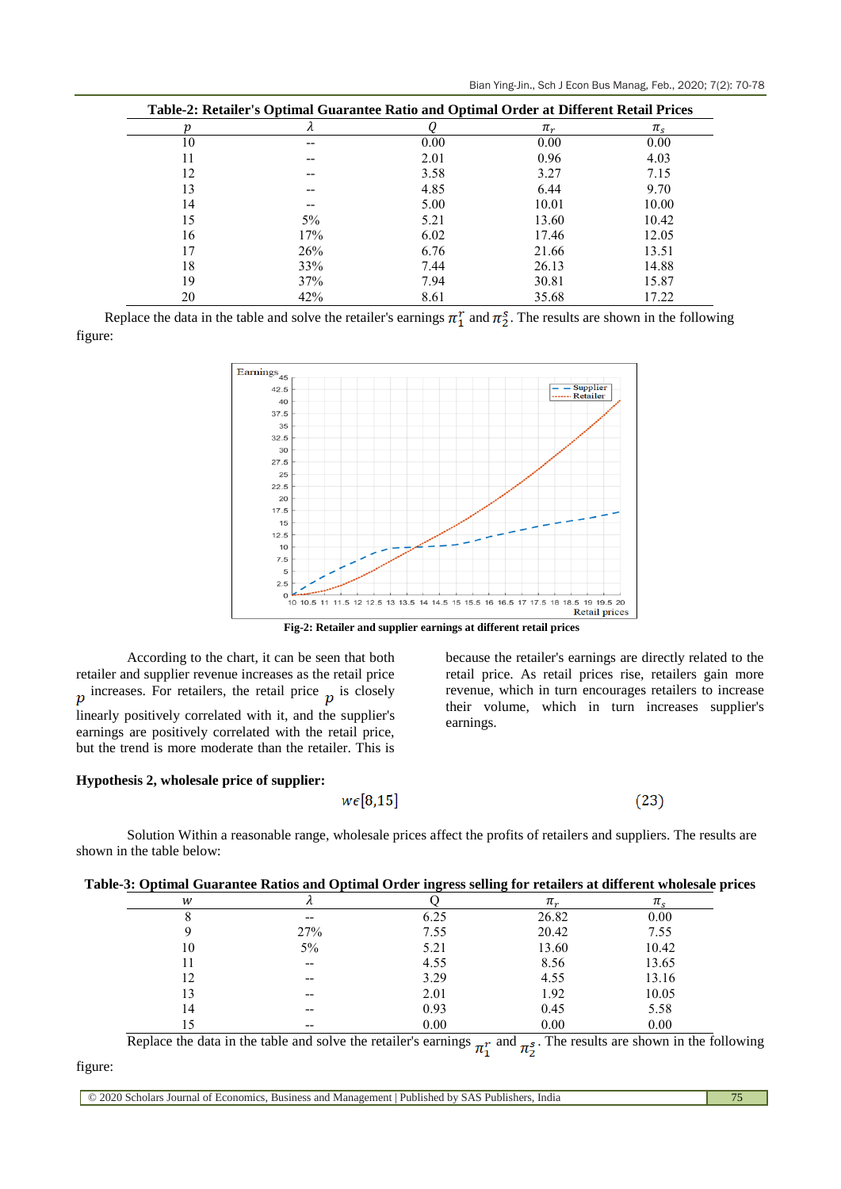|  |  |  |  |  | Bian Ying-Jin., Sch J Econ Bus Manag, Feb., 2020; 7(2): 70-78 |  |  |  |  |
|--|--|--|--|--|---------------------------------------------------------------|--|--|--|--|
|--|--|--|--|--|---------------------------------------------------------------|--|--|--|--|

| р  | Table-2: Retailer's Optimal Guarantee Ratio and Optimal Order at Different Retail Prices<br>$\lambda$ |      | $\pi_r$ | $\pi_{\rm s}$ |
|----|-------------------------------------------------------------------------------------------------------|------|---------|---------------|
| 10 |                                                                                                       | 0.00 | 0.00    | 0.00          |
| 11 |                                                                                                       | 2.01 | 0.96    | 4.03          |
| 12 |                                                                                                       | 3.58 | 3.27    | 7.15          |
| 13 |                                                                                                       | 4.85 | 6.44    | 9.70          |
| 14 |                                                                                                       | 5.00 | 10.01   | 10.00         |
| 15 | $5\%$                                                                                                 | 5.21 | 13.60   | 10.42         |
| 16 | 17%                                                                                                   | 6.02 | 17.46   | 12.05         |
| 17 | 26%                                                                                                   | 6.76 | 21.66   | 13.51         |
| 18 | 33%                                                                                                   | 7.44 | 26.13   | 14.88         |
| 19 | 37%                                                                                                   | 7.94 | 30.81   | 15.87         |
| 20 | 42%                                                                                                   | 8.61 | 35.68   | 17.22         |

Replace the data in the table and solve the retailer's earnings  $\pi_1^r$  and  $\pi_2^s$ . The results are shown in the following figure:



**Fig-2: Retailer and supplier earnings at different retail prices**

According to the chart, it can be seen that both retailer and supplier revenue increases as the retail price  $p$  increases. For retailers, the retail price  $p$  is closely linearly positively correlated with it, and the supplier's earnings are positively correlated with the retail price, but the trend is more moderate than the retailer. This is

### **Hypothesis 2, wholesale price of supplier:**

because the retailer's earnings are directly related to the retail price. As retail prices rise, retailers gain more revenue, which in turn encourages retailers to increase their volume, which in turn increases supplier's earnings.

 $(23)$ 

|                           | Solution Within a reasonable range, wholesale prices affect the profits of retailers and suppliers. The results are |  |  |  |  |  |
|---------------------------|---------------------------------------------------------------------------------------------------------------------|--|--|--|--|--|
| shown in the table below: |                                                                                                                     |  |  |  |  |  |

 $w \in [8, 15]$ 

| Table-3: Optimal Guarantee Ratios and Optimal Order ingress selling for retailers at different wholesale prices |  |  |
|-----------------------------------------------------------------------------------------------------------------|--|--|
|                                                                                                                 |  |  |

| w  |       |      | $\pi_r$ |       |
|----|-------|------|---------|-------|
|    | $- -$ | 6.25 | 26.82   | 0.00  |
|    | 27%   | 7.55 | 20.42   | 7.55  |
| 10 | 5%    | 5.21 | 13.60   | 10.42 |
| 11 | $- -$ | 4.55 | 8.56    | 13.65 |
| 12 | $- -$ | 3.29 | 4.55    | 13.16 |
| 13 | $- -$ | 2.01 | 1.92    | 10.05 |
| 14 | --    | 0.93 | 0.45    | 5.58  |
| 15 | $- -$ | 0.00 | 0.00    | 0.00  |

Replace the data in the table and solve the retailer's earnings  $\pi_i^r$  and  $\pi_5^s$ . The results are shown in the following

# figure: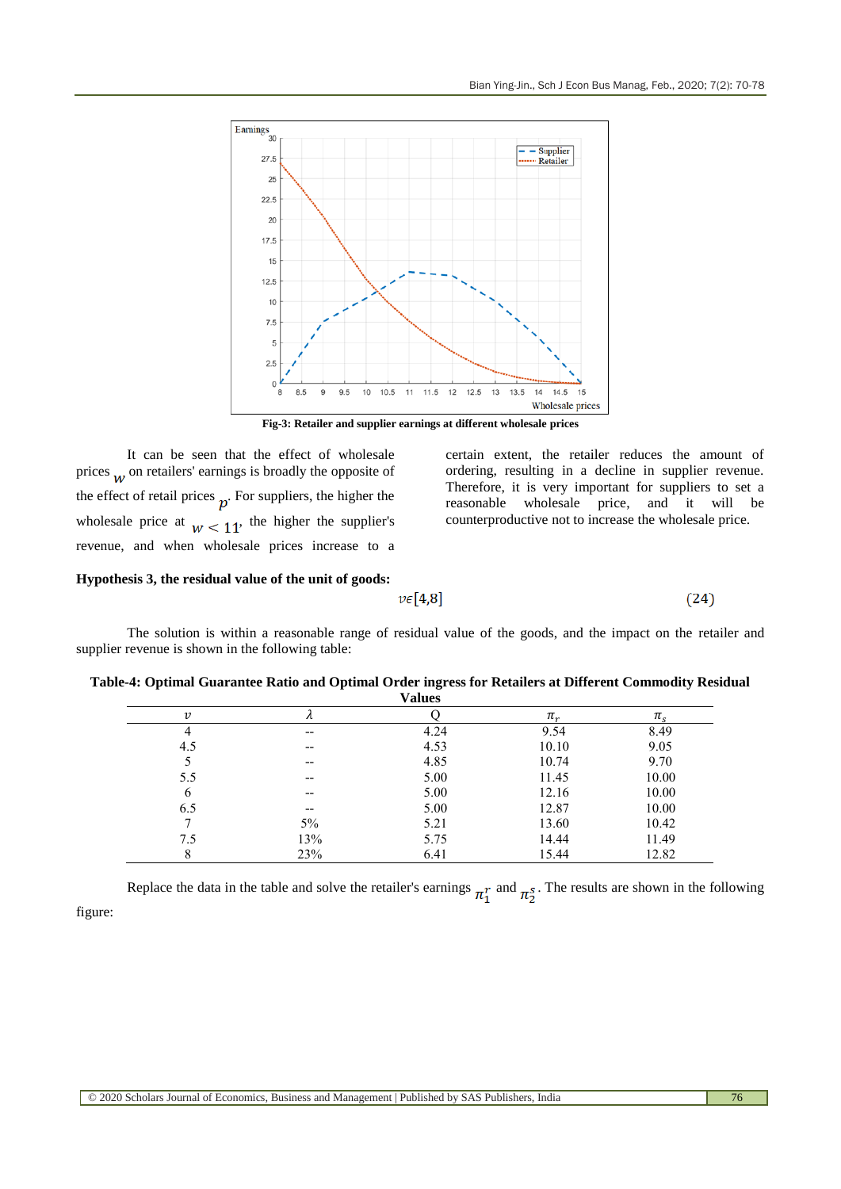

**Fig-3: Retailer and supplier earnings at different wholesale prices**

It can be seen that the effect of wholesale prices  $\mu$ , on retailers' earnings is broadly the opposite of the effect of retail prices  $p$ . For suppliers, the higher the wholesale price at  $w < 11$ , the higher the supplier's revenue, and when wholesale prices increase to a certain extent, the retailer reduces the amount of ordering, resulting in a decline in supplier revenue. Therefore, it is very important for suppliers to set a reasonable wholesale price, and it will be counterproductive not to increase the wholesale price.

 $(24)$ 

## **Hypothesis 3, the residual value of the unit of goods:**

 $v \in [4,8]$ 

The solution is within a reasonable range of residual value of the goods, and the impact on the retailer and supplier revenue is shown in the following table:

|                           |           | .    |         |               |
|---------------------------|-----------|------|---------|---------------|
| $\boldsymbol{\mathit{v}}$ | $\lambda$ |      | $\pi_r$ | $\pi_{\rm s}$ |
|                           | $- -$     | 4.24 | 9.54    | 8.49          |
| 4.5                       | $- -$     | 4.53 | 10.10   | 9.05          |
|                           | $- -$     | 4.85 | 10.74   | 9.70          |
| 5.5                       | $- -$     | 5.00 | 11.45   | 10.00         |
| 6                         | $- -$     | 5.00 | 12.16   | 10.00         |
| 6.5                       | $- -$     | 5.00 | 12.87   | 10.00         |
|                           | 5%        | 5.21 | 13.60   | 10.42         |
| 7.5                       | 13%       | 5.75 | 14.44   | 11.49         |
| 8                         | 23%       | 6.41 | 15.44   | 12.82         |

**Table-4: Optimal Guarantee Ratio and Optimal Order ingress for Retailers at Different Commodity Residual Values**

Replace the data in the table and solve the retailer's earnings  $\pi_1^r$  and  $\pi_2^s$ . The results are shown in the following figure: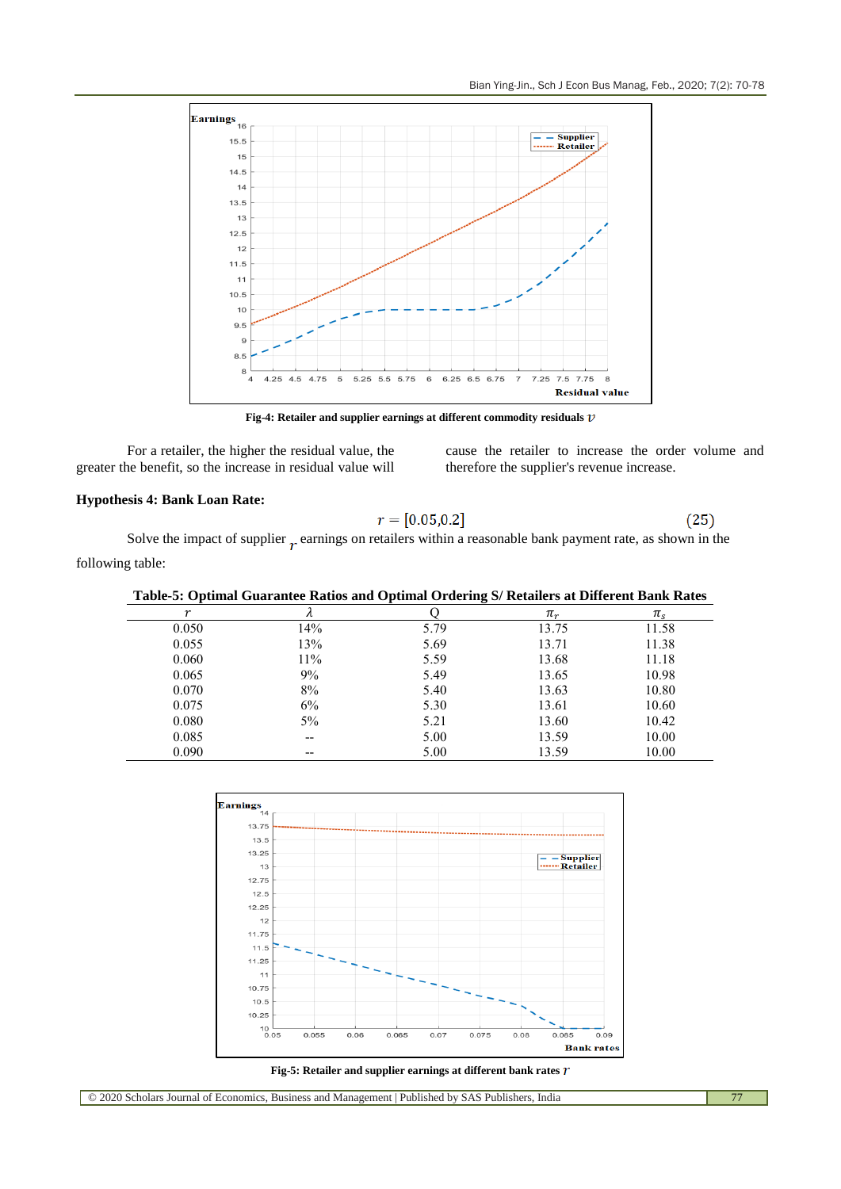

**Fig-4: Retailer and supplier earnings at different commodity residuals**

For a retailer, the higher the residual value, the greater the benefit, so the increase in residual value will cause the retailer to increase the order volume and therefore the supplier's revenue increase.

# **Hypothesis 4: Bank Loan Rate:**

$$
r = [0.05, 0.2] \tag{25}
$$

Solve the impact of supplier  $r$  earnings on retailers within a reasonable bank payment rate, as shown in the following table:

|       |       | Table-5: Optimal Guarantee Ratios and Optimal Ordering S/ Retailers at Different Bank Rates |       |         |
|-------|-------|---------------------------------------------------------------------------------------------|-------|---------|
|       |       |                                                                                             | $\pi$ | $\pi$ . |
| 0.050 | 14%   | 5.79                                                                                        | 13.75 | 11.58   |
| 0.055 | 13%   | 5.69                                                                                        | 13.71 | 11.38   |
| 0.060 | 11%   | 5.59                                                                                        | 13.68 | 11.18   |
| 0.065 | 9%    | 5.49                                                                                        | 13.65 | 10.98   |
| 0.070 | 8%    | 5.40                                                                                        | 13.63 | 10.80   |
| 0.075 | 6%    | 5.30                                                                                        | 13.61 | 10.60   |
| 0.080 | $5\%$ | 5.21                                                                                        | 13.60 | 10.42   |
| 0.085 | --    | 5.00                                                                                        | 13.59 | 10.00   |
| 0.090 |       | 5.00                                                                                        | 13.59 | 10.00   |